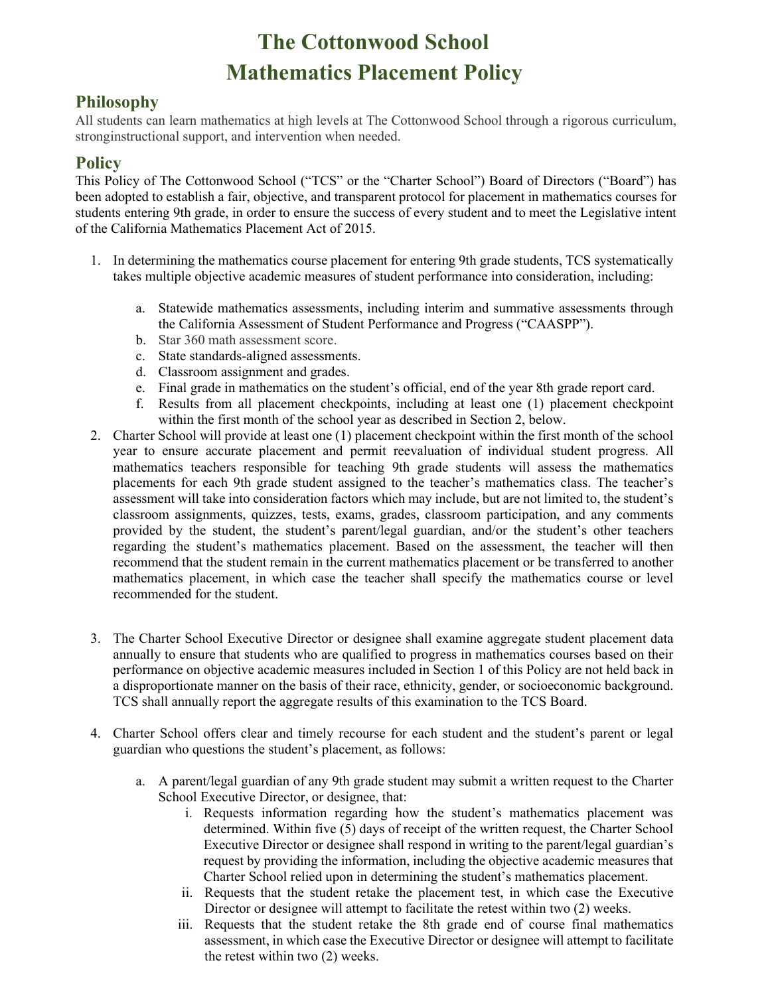# **The Cottonwood School Mathematics Placement Policy**

#### **Philosophy**

All students can learn mathematics at high levels at The Cottonwood School through a rigorous curriculum, stronginstructional support, and intervention when needed.

#### **Policy**

This Policy of The Cottonwood School ("TCS" or the "Charter School") Board of Directors ("Board") has been adopted to establish a fair, objective, and transparent protocol for placement in mathematics courses for students entering 9th grade, in order to ensure the success of every student and to meet the Legislative intent of the California Mathematics Placement Act of 2015.

- 1. In determining the mathematics course placement for entering 9th grade students, TCS systematically takes multiple objective academic measures of student performance into consideration, including:
	- a. Statewide mathematics assessments, including interim and summative assessments through the California Assessment of Student Performance and Progress ("CAASPP").
	- b. Star 360 math assessment score.
	- c. State standards-aligned assessments.
	- d. Classroom assignment and grades.
	- e. Final grade in mathematics on the student's official, end of the year 8th grade report card.
	- f. Results from all placement checkpoints, including at least one (1) placement checkpoint within the first month of the school year as described in Section 2, below.
- 2. Charter School will provide at least one (1) placement checkpoint within the first month of the school year to ensure accurate placement and permit reevaluation of individual student progress. All mathematics teachers responsible for teaching 9th grade students will assess the mathematics placements for each 9th grade student assigned to the teacher's mathematics class. The teacher's assessment will take into consideration factors which may include, but are not limited to, the student's classroom assignments, quizzes, tests, exams, grades, classroom participation, and any comments provided by the student, the student's parent/legal guardian, and/or the student's other teachers regarding the student's mathematics placement. Based on the assessment, the teacher will then recommend that the student remain in the current mathematics placement or be transferred to another mathematics placement, in which case the teacher shall specify the mathematics course or level recommended for the student.
- 3. The Charter School Executive Director or designee shall examine aggregate student placement data annually to ensure that students who are qualified to progress in mathematics courses based on their performance on objective academic measures included in Section 1 of this Policy are not held back in a disproportionate manner on the basis of their race, ethnicity, gender, or socioeconomic background. TCS shall annually report the aggregate results of this examination to the TCS Board.
- 4. Charter School offers clear and timely recourse for each student and the student's parent or legal guardian who questions the student's placement, as follows:
	- a. A parent/legal guardian of any 9th grade student may submit a written request to the Charter School Executive Director, or designee, that:
		- i. Requests information regarding how the student's mathematics placement was determined. Within five (5) days of receipt of the written request, the Charter School Executive Director or designee shall respond in writing to the parent/legal guardian's request by providing the information, including the objective academic measures that Charter School relied upon in determining the student's mathematics placement.
		- ii. Requests that the student retake the placement test, in which case the Executive Director or designee will attempt to facilitate the retest within two (2) weeks.
		- iii. Requests that the student retake the 8th grade end of course final mathematics assessment, in which case the Executive Director or designee will attempt to facilitate the retest within two (2) weeks.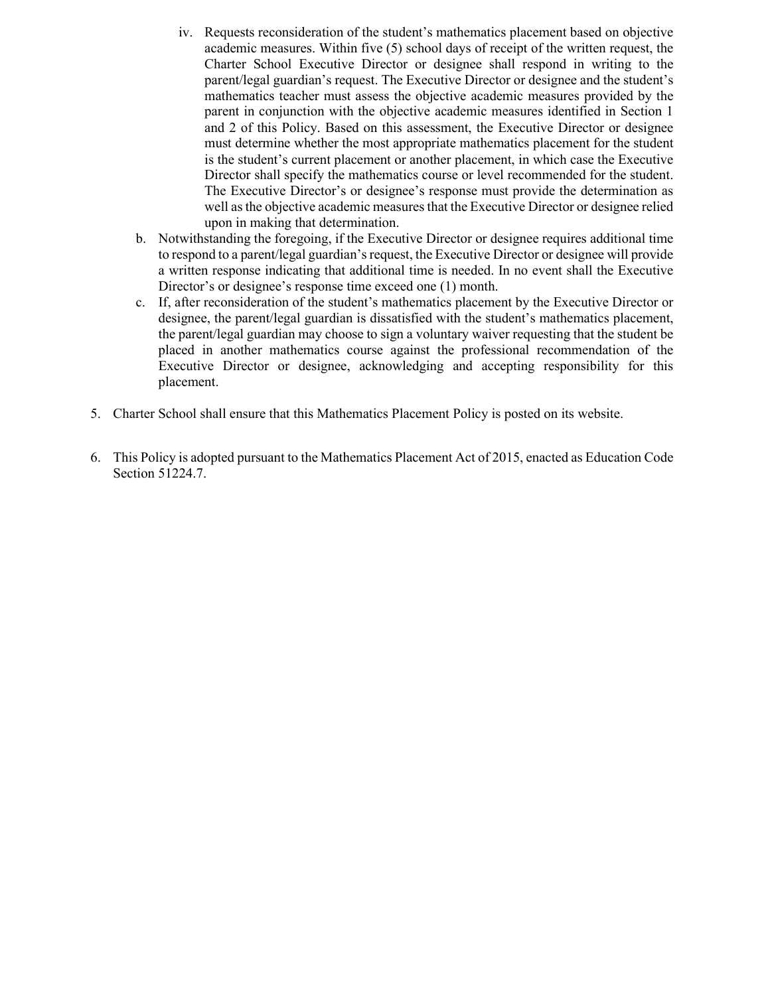- iv. Requests reconsideration of the student's mathematics placement based on objective academic measures. Within five (5) school days of receipt of the written request, the Charter School Executive Director or designee shall respond in writing to the parent/legal guardian's request. The Executive Director or designee and the student's mathematics teacher must assess the objective academic measures provided by the parent in conjunction with the objective academic measures identified in Section 1 and 2 of this Policy. Based on this assessment, the Executive Director or designee must determine whether the most appropriate mathematics placement for the student is the student's current placement or another placement, in which case the Executive Director shall specify the mathematics course or level recommended for the student. The Executive Director's or designee's response must provide the determination as well as the objective academic measures that the Executive Director or designee relied upon in making that determination.
- b. Notwithstanding the foregoing, if the Executive Director or designee requires additional time to respond to a parent/legal guardian's request, the Executive Director or designee will provide a written response indicating that additional time is needed. In no event shall the Executive Director's or designee's response time exceed one (1) month.
- c. If, after reconsideration of the student's mathematics placement by the Executive Director or designee, the parent/legal guardian is dissatisfied with the student's mathematics placement, the parent/legal guardian may choose to sign a voluntary waiver requesting that the student be placed in another mathematics course against the professional recommendation of the Executive Director or designee, acknowledging and accepting responsibility for this placement.
- 5. Charter School shall ensure that this Mathematics Placement Policy is posted on its website.
- 6. This Policy is adopted pursuant to the Mathematics Placement Act of 2015, enacted as Education Code Section 51224.7.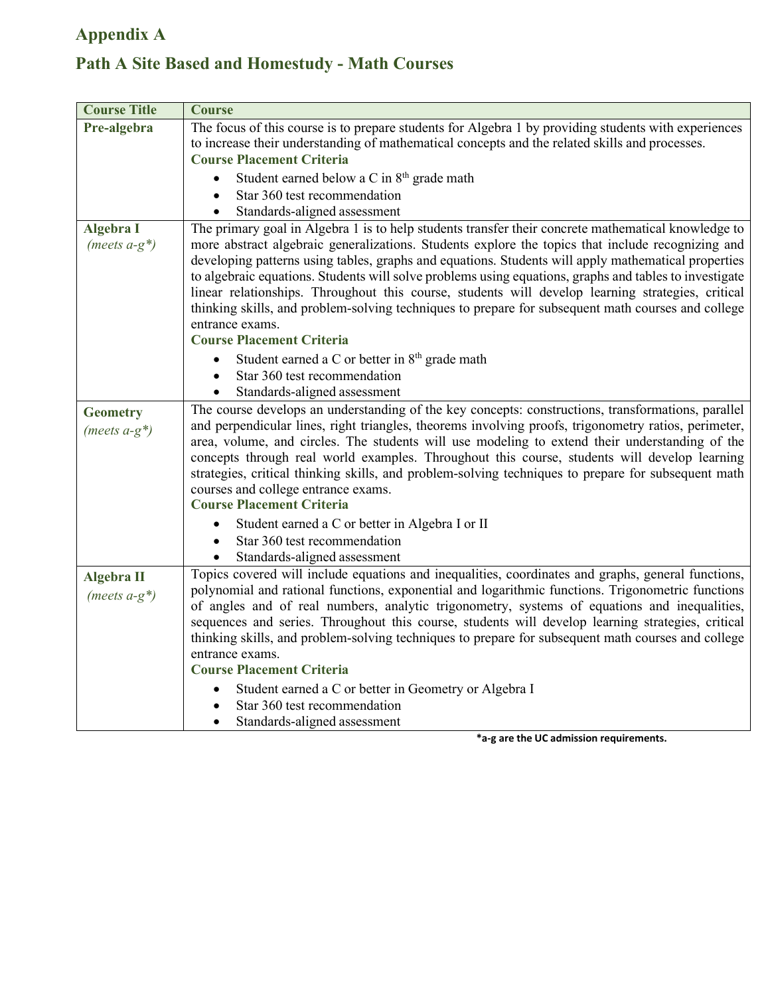### **Appendix A**

## **Path A Site Based and Homestudy - Math Courses**

| <b>Course Title</b>                   | <b>Course</b>                                                                                                                                                                                                                                                                                                                                                                                                                                                                                                                                                                                                                                                                               |
|---------------------------------------|---------------------------------------------------------------------------------------------------------------------------------------------------------------------------------------------------------------------------------------------------------------------------------------------------------------------------------------------------------------------------------------------------------------------------------------------------------------------------------------------------------------------------------------------------------------------------------------------------------------------------------------------------------------------------------------------|
| Pre-algebra                           | The focus of this course is to prepare students for Algebra 1 by providing students with experiences<br>to increase their understanding of mathematical concepts and the related skills and processes.<br><b>Course Placement Criteria</b>                                                                                                                                                                                                                                                                                                                                                                                                                                                  |
|                                       | Student earned below a C in 8 <sup>th</sup> grade math<br>Star 360 test recommendation<br>Standards-aligned assessment                                                                                                                                                                                                                                                                                                                                                                                                                                                                                                                                                                      |
| <b>Algebra I</b><br>(meets $a-g^*$ )  | The primary goal in Algebra 1 is to help students transfer their concrete mathematical knowledge to<br>more abstract algebraic generalizations. Students explore the topics that include recognizing and<br>developing patterns using tables, graphs and equations. Students will apply mathematical properties<br>to algebraic equations. Students will solve problems using equations, graphs and tables to investigate<br>linear relationships. Throughout this course, students will develop learning strategies, critical<br>thinking skills, and problem-solving techniques to prepare for subsequent math courses and college<br>entrance exams.<br><b>Course Placement Criteria</b> |
|                                       | Student earned a C or better in 8 <sup>th</sup> grade math<br>Star 360 test recommendation<br>Standards-aligned assessment                                                                                                                                                                                                                                                                                                                                                                                                                                                                                                                                                                  |
| <b>Geometry</b><br>(meets $a-g^*$ )   | The course develops an understanding of the key concepts: constructions, transformations, parallel<br>and perpendicular lines, right triangles, theorems involving proofs, trigonometry ratios, perimeter,<br>area, volume, and circles. The students will use modeling to extend their understanding of the<br>concepts through real world examples. Throughout this course, students will develop learning<br>strategies, critical thinking skills, and problem-solving techniques to prepare for subsequent math<br>courses and college entrance exams.<br><b>Course Placement Criteria</b>                                                                                              |
|                                       | Student earned a C or better in Algebra I or II<br>Star 360 test recommendation<br>Standards-aligned assessment                                                                                                                                                                                                                                                                                                                                                                                                                                                                                                                                                                             |
| <b>Algebra II</b><br>(meets $a-g^*$ ) | Topics covered will include equations and inequalities, coordinates and graphs, general functions,<br>polynomial and rational functions, exponential and logarithmic functions. Trigonometric functions<br>of angles and of real numbers, analytic trigonometry, systems of equations and inequalities,<br>sequences and series. Throughout this course, students will develop learning strategies, critical<br>thinking skills, and problem-solving techniques to prepare for subsequent math courses and college<br>entrance exams.<br><b>Course Placement Criteria</b>                                                                                                                   |
|                                       | Student earned a C or better in Geometry or Algebra I<br>Star 360 test recommendation<br>Standards-aligned assessment                                                                                                                                                                                                                                                                                                                                                                                                                                                                                                                                                                       |

**\*a-g are the UC admission requirements.**